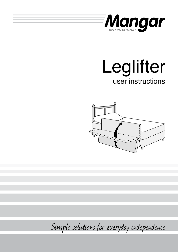

# user instructions Leglifter



Simple solutions for everyday independence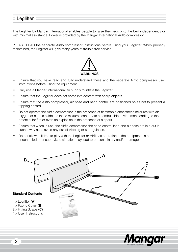# **Leglifter**

The Leglifter by Mangar International enables people to raise their legs onto the bed independently or with minimal assistance. Power is provided by the Mangar International Airflo compressor.

PLEASE READ the separate Airflo compressor instructions before using your Leglifter. When properly maintained, the Leglifter will give many years of trouble free service.



- Ensure that you have read and fully understand these and the separate Airflo compressor user instructions before using the equipment.
- Only use a Mangar International air supply to inflate the Leglifter.
- Ensure that the Leglifter does not come into contact with sharp objects.
- Ensure that the Airflo compressor, air hose and hand control are positioned so as not to present a tripping hazard.
- Do not operate the Airflo compressor in the presence of flammable anaesthetic mixtures with air, oxygen or nitrous oxide, as these mixtures can create a combustible environment leading to the potential for fire or even an explosion in the presence of a spark.
- Ensure that when in use, the Airflo compressor, the hand control lead and air hose are laid out in such a way as to avoid any risk of tripping or strangulation.
- Do not allow children to play with the Leglifter or Airflo as operation of the equipment in an uncontrolled or unsupervised situation may lead to personal injury and/or damage.



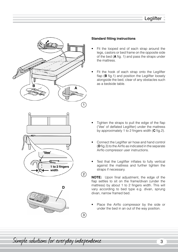

# **Standard fitting instructions**

- Fit the looped end of each strap around the legs, castors or bed frame on the opposite side of the bed (**A** fig. 1) and pass the straps under the mattress.
- Fit the hook of each strap onto the Leglifter flap (**B** fig.1) and position the Leglifter loosely alongside the bed, clear of any obstacles such as a bedside table.

- Tighten the straps to pull the edge of the flap ('Vee' of deflated Leglifter) under the mattress by approximately 1 to 2 fingers width (**C** fig.2).
- Connect the Leglifter air hose and hand control (**D** fig.3) to the Airflo as indicated in the separate Airflo compressor user instructions.
- Test that the Leglifter inflates to fully vertical against the mattress and further tighten the straps if necessary.

**NOTE:** Upon final adjustment, the edge of the flap settles to sit on the frame/divan (under the mattress) by about 1 to 2 fingers width. This will vary according to bed type e.g. divan, sprung divan, narrow framed bed.

Place the Airflo compressor by the side or under the bed in an out of the way position.

Simple solutions for everyday independence 33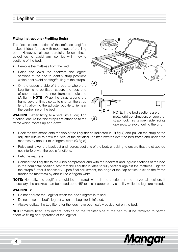# **Fitting instructions (Profiling Beds)**

The flexible construction of the deflated Leglifter makes it ideal for use with most types of profiling bed. However, please carefully follow these guidelines to avoid any conflict with moving sections of the bed.

- Remove the mattress from the bed.
- Raise and lower the backrest and legrest sections of the bed to identify strap positions which best avoid chafing/fouling of the straps.
- On the opposite side of the bed to where the Leglifter is to be fitted, secure the loop end of each strap to the inner frame as indicated (**A** fig.4). **NOTE:** Wrap the strap around the frame several times so as to shorten the strap length, allowing the adjuster buckle to lie near the centre line of the bed.

**WARNING:** When fitting to a bed with a Low/High function, ensure that the straps are attached to the frame which moves up and down.



- Hook the two straps onto the flap of the Leglifter as indicated in (**B** fig.4) and pull on the strap at the adjuster buckle to draw the 'Vee' of the deflated Leglifter inwards over the bed frame and under the mattress by about 1 to 2 fingers width (**C** fig.5).
- Raise and lower the backrest and legrest sections of the bed, checking to ensure that the straps do not interfere with the bed's functions.
- Refit the mattress.
- Connect the Leglifter to the Airflo compressor and with the backrest and legrest sections of the bed in the horizontal position, test that the Leglifter inflates to fully vertical against the mattress. Tighten the straps further if necessary. Upon final adjustment, the edge of the flap settles to sit on the frame (under the mattress) by about 1 to 2 fingers width.

**NOTE:** Normally, the Leglifter should be operated with all bed sections in the horizontal position. If necessary, the backrest can be raised up to 45° to assist upper body stability while the legs are raised.

# **WARNINGS:**

- Do not operate the Leglifter when the bed's legrest is raised.
- Do not raise the bed's legrest when the Leglifter is inflated.
- Always deflate the Leglifter after the legs have been safely positioned on the bed.

**NOTE:** Where fitted, any integral cotside on the transfer side of the bed must be removed to permit effective fitting and operation of the leglifter.

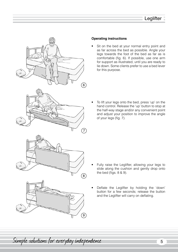

# **Operating instructions**

Sit on the bed at your normal entry point and as far across the bed as possible. Angle your legs towards the foot of the bed as far as is comfortable (fig. 6). If possible, use one arm for support as illustrated, until you are ready to lie down. Some clients prefer to use a bed lever for this purpose.

To lift your legs onto the bed, press 'up' on the hand control. Release the 'up' button to stop at the half-way stage and/or any convenient point and adjust your position to improve the angle of your legs (fig. 7).

- Fully raise the Leglifter, allowing your legs to slide along the cushion and gently drop onto the bed (figs. 8 & 9).
- Deflate the Leglifter by holding the 'down' button for a few seconds; release the button and the Leglifter will carry on deflating.

Simple solutions for everyday independence 5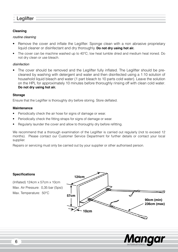# **Leglifter**

# **Cleaning**

# *routine cleaning*

- Remove the cover and inflate the Leglifter. Sponge clean with a non abrasive proprietary liquid cleaner or disinfectant and dry thoroughly. **Do not dry using hot air.**
- The cover can be machine washed up to 40°C; low heat tumble dried and medium heat ironed. Do not dry clean or use bleach.

# *disinfection*

• The cover should be removed and the Leglifter fully inflated. The Leglifter should be precleaned by washing with detergent and water and then disinfected using a 1:10 solution of household liquid bleach and water (1 part bleach to 10 parts cold water). Leave the solution on the HPL for approximately 10 minutes before thoroughly rinsing off with clean cold water. **Do not dry using hot air.**

## **Storage**

Ensure that the Leglifter is thoroughly dry before storing. Store deflated.

## **Maintenance**

- Periodically check the air hose for signs of damage or wear.
- Periodically check the fitting straps for signs of damage or wear.
- Regularly launder the cover and allow to thoroughly dry before refitting.

We recommend that a thorough examination of the Leglifter is carried out regularly (not to exceed 12 months). Please contact our Customer Service Department for further details or contact your local supplier.

Repairs or servicing must only be carried out by your supplier or other authorised person.

# **Specifications**

(Inflated) 124cm x 57cm x 10cm Max. Air Pressure: 0,35 bar (5psi) Max. Temperature: 50°C



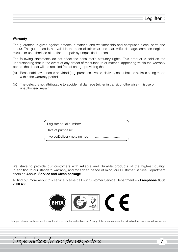#### **Warranty**

The guarantee is given against defects in material and workmanship and comprises piece, parts and labour. The guarantee is not valid in the case of fair wear and tear, wilful damage, common neglect, misuse or unauthorised alteration or repair by unqualified persons.

The following statements do not affect the consumer's statutory rights. This product is sold on the understanding that in the event of any defect of manufacture or material appearing within the warranty period, the defect will be rectified free of charge providing that:

- (a) Reasonable evidence is provided (e.g. purchase invoice, delivery note) that the claim is being made within the warranty period.
- (b) The defect is not attributable to accidental damage (either in transit or otherwise), misuse or unauthorised repair.

We strive to provide our customers with reliable and durable products of the highest quality. In addition to our standard warranty, and for added peace of mind, our Customer Service Department offers an **Annual Service and Clean package**.

To find out more about this service please call our Customer Service Department on **Freephone 0800 2800 485.**



Mangar International reserves the right to alter product specifications and/or any of the information contained within this document without notice.

Simple solutions for everyday independence 7